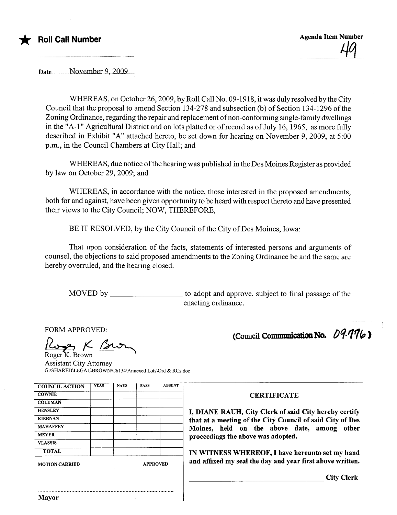



Date..................November.9,..2009.......

WHEREAS, on October 26,2009, by Roll Call No. 09-1918, it was duly resolved by the City Council that the proposal to amend Section 134-278 and subsection (b) of Section 134-1296 ofthe Zoning Ordinance, regarding the repair and replacement of non-conforming single-family dwellings in the "A-1" Agricultural District and on lots platted or of record as of July 16, 1965, as more fully described in Exhibit "A" attached hereto, be set down for hearing on November 9,2009, at 5:00 p.m., in the Council Chambers at City Hall; and

WHEREAS, due notice of the hearing was published in the Des Moines Register as provided by law on October 29,2009; and

WHEREAS, in accordance with the notice, those interested in the proposed amendments, both for and against, have been given opportunity to be heard with respect thereto and have presented their views to the City Council; NOW, THEREFORE,

BE IT RESOLVED, by the City Council of the City of Des Moines, Iowa:

That upon consideration of the facts, statements of interested persons and arguments of counsel, the objections to said proposed amendments to the Zoning Ordinance be and the same are hereby overruled, and the hearing closed.

MOVED by to adopt and approve, subject to final passage of the enacting ordinance.

FORM APPROVED:<br>Proget K Brown

Roger K. Brown Assistant City Attorney G:\SHARED\LEGAL\BROWNCh134\Annexed Lots\Ord & RCs.doc

| <b>COUNCIL ACTION</b> | <b>YEAS</b> | <b>NAYS</b> | <b>PASS</b> | <b>ABSENT</b> |
|-----------------------|-------------|-------------|-------------|---------------|
| <b>COWNIE</b>         |             |             |             |               |
| <b>COLEMAN</b>        |             |             |             |               |
| <b>HENSLEY</b>        |             |             |             |               |
| <b>KIERNAN</b>        |             |             |             |               |
| <b>MAHAFFEY</b>       |             |             |             |               |
| <b>MEYER</b>          |             |             |             |               |
| <b>VLASSIS</b>        |             |             |             |               |
| <b>TOTAL</b>          |             |             |             |               |

..........................................................................................

(Council Communication No.  $09.776$ )

#### **CERTIFICATE**

I, DIANE RAUH, City Clerk of said City hereby certify that at a meeting of the City Council of said City of Des Moines, held on the above date, among other proceedings the above was adopted.

IN WITNESS WHEREOF, I have hereunto set my hand MOTION CARRIED APPROVED and affixed my seal the day and year first above written.

City Clerk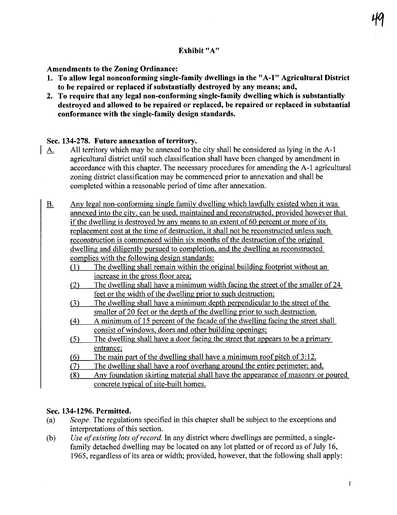# Exhibit "A"

## Amendments to the Zoning Ordinance:

- 1. To allow legal nonconforming single-family dwellngs in the" A-I" Agricultural District to be repaired or replaced if substantially destroyed by any means; and,
- 2. To require that any legal non-conforming single-family dwellng which is substantially destroyed and allowed to be repaired or replaced, be repaired or replaced in substantial conformance with the single-family design standards.

## Sec. 134-278. Future annexation of territory.

- A. All territory which may be anexed to the city shall be considered as lying in the A-I agricultural district until such classification shall have been changed by amendment in accordance with this chapter. The necessary procedures for amending the A-I agricultural zoning district classification may be commenced prior to anexation and shall be completed within a reasonable period of time after annexation.
- B. Any legal non-conforming single family dwelling which lawfully existed when it was annexed into the city. can be used. maintained and reconstructed. provided however that if the dwellng is destroyed by any means to an extent of 60 percent or more of its replacement cost at the time of destruction. it shall not be reconstructed unless such reconstruction is commenced within six months of the destruction of the original dwelling and diligently pursued to completion, and the dwelling as reconstructed complies with the following design standards:
	- (1 ) The dwelling shall remain within the original building footprint without an increase in the gross floor area;
	- (2) The dwellng shall have a minimum width facing the street of the smaller of 24 feet or the width of the dwelling prior to such destruction;
	- (3) The dwelling shall have a minimum depth perpendicular to the street of the smaller of 20 feet or the depth of the dwelling prior to such destruction.
	- (4) A minimum of 15 percent of the facade of the dwelling facing the street shall consist of windows, doors and other building openings;
	- (5) The dwelling shall have a door facing the street that appears to be a primary entrance:
	- (6) The main part of the dwelling shall have a minimum roof pitch of  $3:12$ .
	- (7) The dwelling shall have a roof overhang around the entire perimeter; and,

(8) Any foundation skirting material shall have the appearance of masonry or poured concrete typical of site-built homes.

# Sec. 134-1296. Permitted.

- (a) Scope. The regulations specified in this chapter shall be subject to the exceptions and interpretations of this section.
- (b) Use of existing lots of record. In any district where dwellings are permitted, a singlefamily detached dwelling may be located on any lot platted or of record as of July 16, 1965, regardless of its area or width; provided, however, that the following shall apply: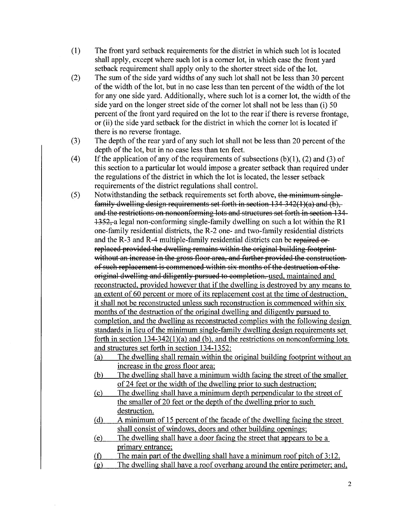- (1) The front yard setback requirements for the district in which such lot is located shall apply, except where such lot is a comer lot, in which case the front yard setback requirement shall apply only to the shorter street side of the lot.
- (2) The sum of the side yard widths of any such lot shall not be less than 30 percent of the width of the lot, but in no case less than ten percent of the width of the lot for anyone side yard. Additionally, where such lot is a comer lot, the width of the side yard on the longer street side of the comer lot shall not be less than (i) 50 percent of the front yard required on the lot to the rear if there is reverse frontage, or (ii) the side yard setback for the district in which the comer lot is located if there is no reverse frontage.
- (3) The depth of the rear yard of any such lot shall not be less than 20 percent of the depth of the lot, but in no case less than ten feet.
- (4) If the application of any of the requirements of subsections  $(b)(1)$ ,  $(2)$  and  $(3)$  of this section to a paricular lot would impose a greater setback than required under the regulations of the district in which the lot is located, the lesser setback requirements of the district regulations shall control.
- (5) Notwithstanding the setback requirements set forth above, the minimum single family dwelling design requirements set forth in section  $134\frac{342}{100}$  and (b), and the restrictions on nonconforming lots and structures set forth in section 131  $+352$ , a legal non-conforming single-family dwelling on such a lot within the R1 one-family residential districts, the R-2 one- and two-family residential districts and the R-3 and R-4 multiple-family residential districts can be repaired or replaced provided the dwelling remains within the original building footprintwithout an increase in the gross floor area, and further provided the constructionof such replacement is commenced within six months of the destruction of the original dwelling and diligently pursued to completion, used, maintained and reconstructed. provided however that if the dwelling is destroyed by any means to an extent of 60 percent or more of its replacement cost at the time of destruction. it shall not be reconstructed unless such reconstruction is commenced within six months of the destruction of the original dwelling and diligently pursued to completion, and the dwelling as reconstructed complies with the following design standards in lieu of the minimum single-family dwelling design requirements set forth in section 134-342(1)(a) and (b). and the restrictions on nonconforming lots and structures set forth in section 134-1352:
	- (a) The dwellng shall remain within the original building footprint without an increase in the gross floor area;
	- (b) The dwelling shall have a minimum width facing the street of the smaller of 24 feet or the width of the dwelling prior to such destruction;
	- (c) The dwellng shall have a minimum depth perpendicular to the street of the smaller of 20 feet or the depth of the dwelling prior to such destruction.
	- (d) A minimum of 15 percent of the facade of the dwelling facing the street shall consist of windows. doors and other building openings;
	- (e) The dwellng shall have a door facing the street that appears to be a primary entrance;
	- (f) The main part of the dwelling shall have a minimum roof pitch of  $3:12$ .
	- $(g)$  The dwelling shall have a roof overhang around the entire perimeter; and,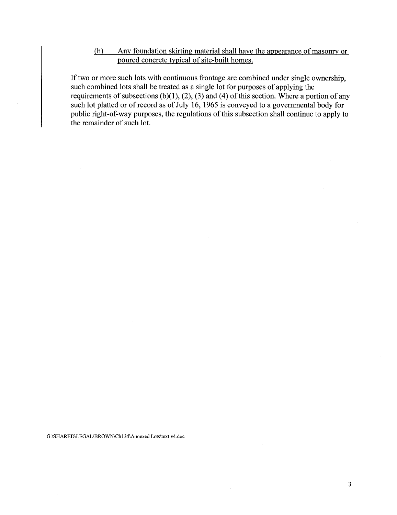## (h) Any foundation skirting material shall have the appearance of masonry or poured concrete typical of site-built homes.

If two or more such lots with continuous frontage are combined under single ownership, such combined lots shall be treated as a single lot for puroses of applying the requirements of subsections (b)(1), (2), (3) and (4) of this section. Where a portion of any such lot platted or of record as of July 16, 1965 is conveyed to a governmental body for public right-of-way purposes, the regulations of this subsection shall continue to apply to the remainder of such lot.

G:\SHARED\LEGAL\BROWNCh134\Annexed Lots\text v4.doc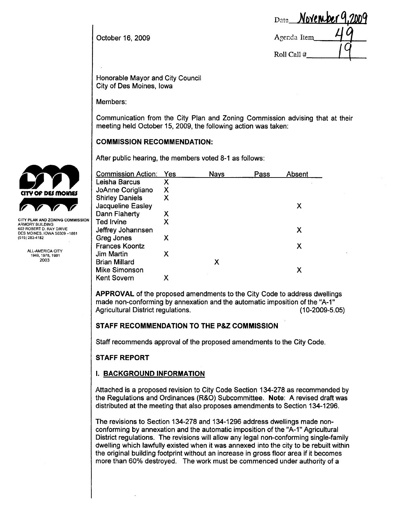October 16, 2009

| Date November 9,2009 |  |
|----------------------|--|
| Agenda Item          |  |
| Roll Call #          |  |

Honorable Mayor and City Council City of Des Moines, Iowa

Members:

Communication from the City Plan and Zoning Commission advising that at their meeting held October 15, 2009, the following action was taken:

### COMMISSION RECOMMENDATION:

|                                                    | After public hearing, the members voted 8-1 as follows: |     |             |      |        |  |
|----------------------------------------------------|---------------------------------------------------------|-----|-------------|------|--------|--|
|                                                    | <b>Commission Action:</b>                               | Yes | <b>Nays</b> | Pass | Absent |  |
|                                                    | Leisha Barcus                                           | Χ   |             |      |        |  |
| <b>CITY OF DES MOINES</b>                          | JoAnne Corigliano                                       | Χ   |             |      |        |  |
|                                                    | <b>Shirley Daniels</b>                                  | Х   |             |      |        |  |
|                                                    | Jacqueline Easley                                       |     |             |      | х      |  |
|                                                    | Dann Flaherty                                           | Х   |             |      |        |  |
| CITY PLAN AND ZONING COMMISSION<br>ARMORY BUILDING | <b>Ted Irvine</b>                                       | Х   |             |      |        |  |
| 602 ROBERT D. RAY DRIVE                            | Jeffrey Johannsen                                       |     |             |      | X      |  |
| DES MOINES, IOWA 50309-1881<br>(515) 283-4182      | Greg Jones                                              | Х   |             |      |        |  |
|                                                    | <b>Frances Koontz</b>                                   |     |             |      | Х      |  |
| ALL-AMERICA CITY<br>1949, 1976, 1981               | <b>Jim Martin</b>                                       | Х   |             |      |        |  |
| 2003                                               | <b>Brian Millard</b>                                    |     | Х           |      |        |  |
|                                                    | <b>Mike Simonson</b>                                    |     |             |      | X      |  |
|                                                    | Kent Sovern                                             | X   |             |      |        |  |

APPROVAL of the proposed amendments to the City Code to address dwellngs made non-conforming by annexation and the automatic imposition of the "A-1" Agricultural District regulations. (10-2009-5.05)

## STAFF RECOMMENDATION TO THE P&Z COMMISSION

Staff recommends approval of the proposed amendments to the City Code.

## STAFF REPORT

## I. BACKGROUND INFORMATION

Attached is a proposed revision to City Code Section 134-278 as recommended by the Regulations and Ordinances (R&O) Subcommittee. Note: A revised draft was distributed at the meeting that also proposes amendments to Section 134-1296.

The revisions to Section 134-278 and 134-1296 address dwellings made nonconforming by annexation and the automatic imposition of the "A-1" Agricultural District regulations. The revisions will allow any legal non-conforming single-family dwelling which lawfully existed when it was annexed into the city to be rebuilt within the original building footprint without an increase in gross floor area if it becomes more than 60% destroyed. The work must be commenced under authority of a

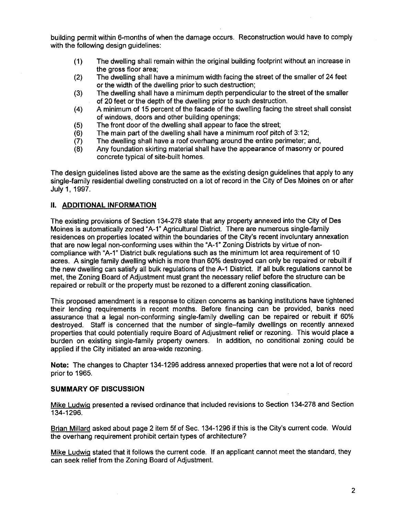building permit within 6-months of when the damage occurs. Reconstruction would have to comply with the following design guidelines:

- (1) The dwellng shall remain within the original building footprint without an increase in the gross floor area;
- (2) The dwelling shall have a minimum width facing the street of the smaller of 24 feet or the width of the dwellng prior to such destruction;
- (3) The dwellng shall have a minimum depth perpendicular to the street of the smaller of 20 feet or the depth of the dwelling prior to such destruction.
- (4) A minimum of 15 percent of the facade of the dwellng facing the street shall consist of windows, doors and other building openings;
- 
- (5) The front door of the dwelling shall appear to face the street;<br>(6) The main part of the dwelling shall have a minimum roof pitcl
- (6) The main part of the dwelling shall have a minimum roof pitch of 3:12;<br>(7) The dwelling shall have a roof overhang around the entire perimeter; a
- (7) The dwelling shall have a roof overhang around the entire perimeter; and, (8) Any foundation skirting material shall have the appearance of masonry or Any foundation skirting material shall have the appearance of masonry or poured concrete typical of site-built homes.

The design guidelines listed above are the same as the existing design guidelines that apply to any single-family residential dwelling constructed on a lot of record in the City of Des Moines on or after July 1, 1997.

#### II. ADDITIONAL INFORMATION

The existing provisions of Section 134-278 state that any property annexed into the City of Des Moines is automatically zoned "A-1" Agricultural District. There are numerous single-family residences on properties located within the boundaries of the City's recent involuntary annexation that are now legal non-conforming uses within the "A-1" Zoning Districts by virtue of noncompliance with "A-1" District bulk regulations such as the minimum lot area requirement of 10 acres. A single family dwellng which is more than 60% destroyed can only be repaired or rebuilt if the new dwelling can satisfy all bulk regulations of the A-1 District. If all bulk regulations cannot be met, the Zoning Board of Adjustment must grant the necessary relief before the structure can be repaired or rebuilt or the property must be rezoned to a different zoning classification.

This proposed amendment is a response to citizen concerns as banking institutions have tightened their lending requirements in recent months. Before financing can be provided, banks need assurance that a legal non-conforming single-family dwelling can be repaired or rebuilt if 60% destroyed. Staff is concerned that the number of single-family dwellngs on recently annexed properties that could potentially require Board of Adjustment relief or rezoning. This would place a burden on existing single-family property owners. In addition, no conditional zoning could be applied if the City initiated an area-wide rezoning.

Note: The changes to Chapter 134-1296 address annexed properties that were not a lot of record prior to 1965.

#### SUMMARY OF DISCUSSION

Mike Ludwig presented a revised ordinance that included revisions to Section 134-278 and Section 134-1296.

Brian Milard asked about page 2 item 5f of Sec. 134-1296 if this is the City's current code. Would the overhang requirement prohibit certain types of architecture?

Mike Ludwig stated that it follows the current code. If an applicant cannot meet the standard, they can seek relief from the Zoning Board of Adjustment.